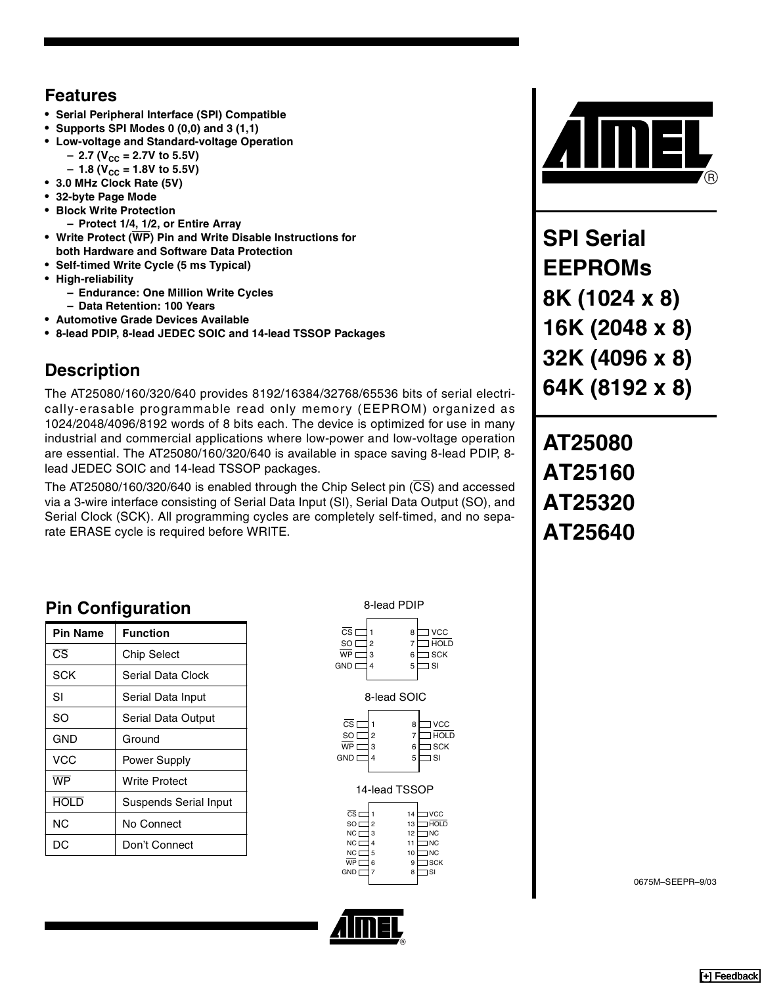#### **Features**

- **Serial Peripheral Interface (SPI) Compatible**
- **Supports SPI Modes 0 (0,0) and 3 (1,1)**
- **Low-voltage and Standard-voltage Operation**
- $-$  2.7 (V<sub>CC</sub> = 2.7V to 5.5V)
	- $-1.8$  (V<sub>CC</sub> = 1.8V to 5.5V)
- **3.0 MHz Clock Rate (5V)**
- **32-byte Page Mode**
- **Block Write Protection**
	- **Protect 1/4, 1/2, or Entire Array**
- **Write Protect (WP) Pin and Write Disable Instructions for**
- **both Hardware and Software Data Protection**
- **Self-timed Write Cycle (5 ms Typical)**
- **High-reliability**
	- **Endurance: One Million Write Cycles**
	- **Data Retention: 100 Years**
- **Automotive Grade Devices Available**
- **8-lead PDIP, 8-lead JEDEC SOIC and 14-lead TSSOP Packages**

### **Description**

The AT25080/160/320/640 provides 8192/16384/32768/65536 bits of serial electrically-erasable programmable read only memory (EEPROM) organized as 1024/2048/4096/8192 words of 8 bits each. The device is optimized for use in many industrial and commercial applications where low-power and low-voltage operation are essential. The AT25080/160/320/640 is available in space saving 8-lead PDIP, 8 lead JEDEC SOIC and 14-lead TSSOP packages.

The AT25080/160/320/640 is enabled through the Chip Select pin  $(\overline{CS})$  and accessed via a 3-wire interface consisting of Serial Data Input (SI), Serial Data Output (SO), and Serial Clock (SCK). All programming cycles are completely self-timed, and no separate ERASE cycle is required before WRITE.

## **Pin Configuration**

| Pin Name               | <b>Function</b>              |
|------------------------|------------------------------|
| $\overline{\text{CS}}$ | Chip Select                  |
| SCK                    | Serial Data Clock            |
| SI                     | Serial Data Input            |
| SO                     | Serial Data Output           |
| GND                    | Ground                       |
| VCC                    | Power Supply                 |
| WP                     | Write Protect                |
| HOLD                   | <b>Suspends Serial Input</b> |
| ΝC                     | No Connect                   |
| DС                     | Don't Connect                |

8-lead PDIP 1 2 WP  $\Box$  3 4 8 VCC 7 6 — SCK 5 SI  $\overline{\text{cs}}$ SO<sub>L</sub>  $GND$  $\Box$  HOLD 8-lead SOIC  $\mathsf{cs}$   $\Box$  1 8  $\Box$  VCC

| <b>SO</b>  | 2 |   | HOL D |
|------------|---|---|-------|
| WP         | з | 6 | ] SCK |
| <b>GND</b> |   | 5 | SI    |
|            |   |   |       |

#### 14-lead TSSOP

| $\overline{\text{cs}}$ |                | 14 | <b>VCC</b>      |
|------------------------|----------------|----|-----------------|
| SO <sub>I</sub>        | $\overline{a}$ | 13 | I HOLD          |
| NC I                   | 3              | 12 | ] NC            |
| NC <sub>[</sub>        | 4              | 11 | I <sub>NC</sub> |
| NC I                   | 5              | 10 | <b>NC</b>       |
| WP                     | 6              | 9  | ∃ SCK           |
| GND I                  | 7              | 8  | ] SI            |
|                        |                |    |                 |





**SPI Serial EEPROMs 8K (1024 x 8) 16K (2048 x 8) 32K (4096 x 8) 64K (8192 x 8)**

# **AT25080 AT25160 AT25320 AT25640**

0675M–SEEPR–9/03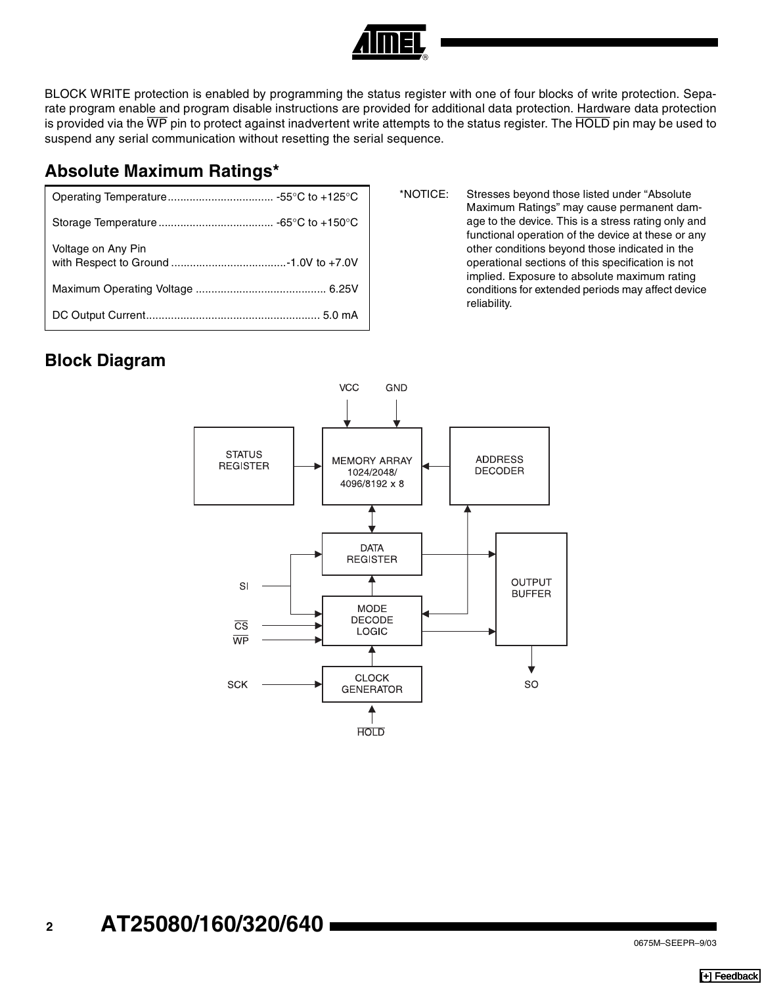#### BLOCK WRITE protection is enabled by programming the status register with one of four blocks of write protection. Separate program enable and program disable instructions are provided for additional data protection. Hardware data protection is provided via the WP pin to protect against inadvertent write attempts to the status register. The HOLD pin may be used to suspend any serial communication without resetting the serial sequence.

#### **Absolute Maximum Ratings\***

| Voltage on Any Pin |
|--------------------|
|                    |
|                    |

\*NOTICE: Stresses beyond those listed under "Absolute Maximum Ratings" may cause permanent damage to the device. This is a stress rating only and functional operation of the device at these or any other conditions beyond those indicated in the operational sections of this specification is not implied. Exposure to absolute maximum rating conditions for extended periods may affect device reliability.

#### **Block Diagram**

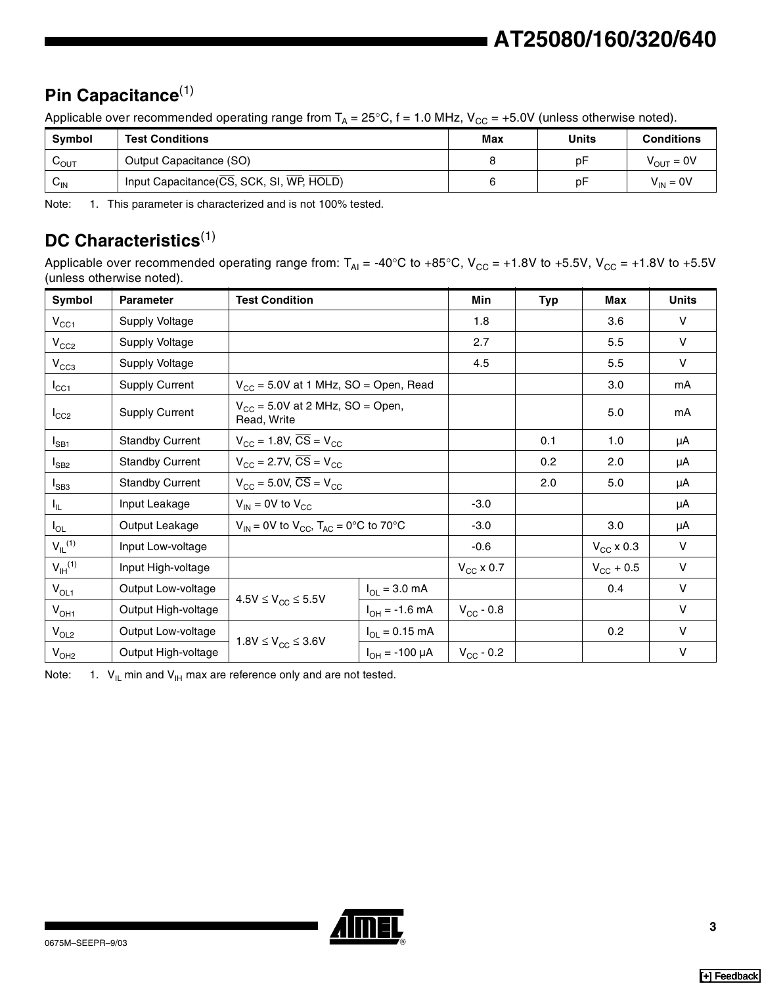## **Pin Capacitance**(1)

Applicable over recommended operating range from  $T_A = 25^{\circ}$ C, f = 1.0 MHz, V<sub>CC</sub> = +5.0V (unless otherwise noted).

| <b>Symbol</b>               | <b>Test Conditions</b>                                                       | Max | Units | <b>Conditions</b>     |
|-----------------------------|------------------------------------------------------------------------------|-----|-------|-----------------------|
| $\mathsf{v}_{\mathsf{OUT}}$ | Output Capacitance (SO)                                                      |     | p⊦    | $V_{\text{OUT}} = 0V$ |
| $V_{\text{IN}}$             | Input Capacitance $(\overline{CS}, SCK, SI, \overline{WP}, \overline{HOLD})$ |     | p۲    | $V_{IN} = 0V$         |

Note: 1. This parameter is characterized and is not 100% tested.

## **DC Characteristics**(1)

Applicable over recommended operating range from:  $T_{Al} = -40^{\circ}C$  to  $+85^{\circ}C$ ,  $V_{CC} = +1.8V$  to  $+5.5V$ ,  $V_{CC} = +1.8V$  to  $+5.5V$ (unless otherwise noted).

| Symbol                  | <b>Parameter</b>       | <b>Test Condition</b>                               |                       | Min                | <b>Typ</b> | Max                | <b>Units</b> |
|-------------------------|------------------------|-----------------------------------------------------|-----------------------|--------------------|------------|--------------------|--------------|
| $V_{CC1}$               | Supply Voltage         |                                                     | 1.8                   |                    | 3.6        | $\vee$             |              |
| $V_{CC2}$               | Supply Voltage         |                                                     |                       | 2.7                |            | 5.5                | $\mathsf{V}$ |
| $V_{CC3}$               | Supply Voltage         |                                                     |                       | 4.5                |            | 5.5                | $\mathsf{V}$ |
| $I_{\rm CC1}$           | <b>Supply Current</b>  | $V_{CC}$ = 5.0V at 1 MHz, SO = Open, Read           |                       |                    |            | 3.0                | mA           |
| $I_{CC2}$               | <b>Supply Current</b>  | $V_{CC}$ = 5.0V at 2 MHz, SO = Open,<br>Read, Write |                       |                    |            | 5.0                | mA           |
| $I_{SB1}$               | <b>Standby Current</b> | $V_{CC}$ = 1.8V, $\overline{CS}$ = V <sub>CC</sub>  |                       | 0.1                | 1.0        | μA                 |              |
| $I_{SB2}$               | <b>Standby Current</b> | $V_{CC}$ = 2.7V, $\overline{CS}$ = V <sub>CC</sub>  |                       |                    |            | 2.0                | μA           |
| $I_{SB3}$               | <b>Standby Current</b> | $V_{CC}$ = 5.0V, $\overline{CS}$ = V <sub>CC</sub>  |                       |                    |            | 5.0                | μA           |
| $I_{IL}$                | Input Leakage          | $V_{IN}$ = 0V to $V_{CC}$                           |                       | $-3.0$             |            |                    | μA           |
| $I_{OL}$                | Output Leakage         | $V_{IN}$ = 0V to $V_{CC}$ , $T_{AC}$ = 0°C to 70°C  |                       | $-3.0$             |            | 3.0                | μA           |
| $V_{IL}$ <sup>(1)</sup> | Input Low-voltage      |                                                     |                       | $-0.6$             |            | $V_{CC}$ x 0.3     | $\mathsf{V}$ |
| $V_{\text{IH}}^{(1)}$   | Input High-voltage     |                                                     |                       | $V_{CC}$ x 0.7     |            | $V_{\rm CC}$ + 0.5 | $\mathsf{V}$ |
| $V_{OL1}$               | Output Low-voltage     |                                                     | $I_{OL} = 3.0$ mA     |                    |            | 0.4                | V            |
| $V_{OH1}$               | Output High-voltage    | $4.5V \leq V_{CC} \leq 5.5V$                        | $I_{OH} = -1.6$ mA    | $V_{CC}$ - 0.8     |            |                    | $\mathsf{V}$ |
| $V_{OL2}$               | Output Low-voltage     |                                                     | $I_{OL} = 0.15$ mA    |                    |            | 0.2                | $\mathsf{V}$ |
| V <sub>OH2</sub>        | Output High-voltage    | $1.8V \le V_{CC} \le 3.6V$                          | $I_{OH} = -100 \mu A$ | $V_{\rm CC}$ - 0.2 |            |                    | $\vee$       |

Note:  $1. \ V_{\text{IL}}$  min and  $V_{\text{IH}}$  max are reference only and are not tested.

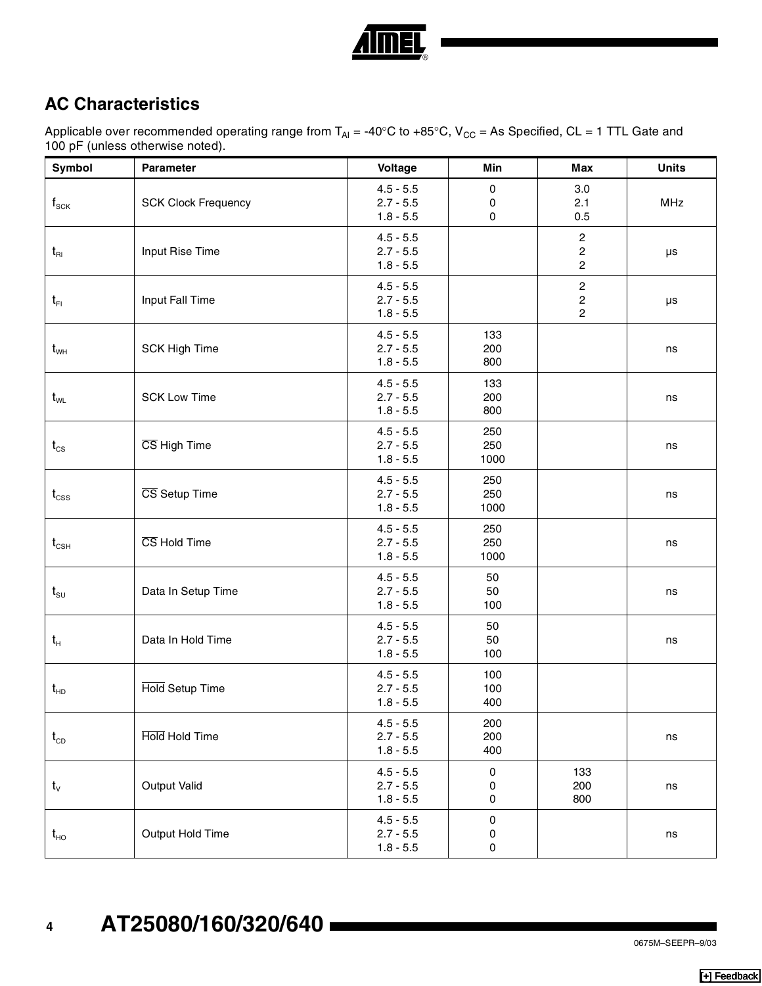

## **AC Characteristics**

Applicable over recommended operating range from T<sub>AI</sub> = -40°C to +85°C, V<sub>CC</sub> = As Specified, CL = 1 TTL Gate and 100 pF (unless otherwise noted).

| Symbol                                 | Parameter                  | Voltage                                   | Min                 | <b>Max</b>                                                  | <b>Units</b> |
|----------------------------------------|----------------------------|-------------------------------------------|---------------------|-------------------------------------------------------------|--------------|
| $\boldsymbol{\mathsf{f}}_{\text{SCK}}$ | <b>SCK Clock Frequency</b> | $4.5 - 5.5$<br>$2.7 - 5.5$<br>$1.8 - 5.5$ | $\pmb{0}$<br>0<br>0 | 3.0<br>2.1<br>0.5                                           | <b>MHz</b>   |
| $t_{\rm R1}$                           | Input Rise Time            | $4.5 - 5.5$<br>$2.7 - 5.5$<br>$1.8 - 5.5$ |                     | $\overline{c}$<br>$\overline{\mathbf{c}}$<br>$\overline{c}$ | $\mu s$      |
| $t_{\text{FI}}$                        | Input Fall Time            | $4.5 - 5.5$<br>$2.7 - 5.5$<br>$1.8 - 5.5$ |                     | $\mathbf 2$<br>$\begin{array}{c} 2 \\ 2 \end{array}$        | $\mu s$      |
| $\rm{t_{wH}}$                          | <b>SCK High Time</b>       | $4.5 - 5.5$<br>$2.7 - 5.5$<br>$1.8 - 5.5$ | 133<br>200<br>800   |                                                             | ns           |
| $t_{\text{WL}}$                        | <b>SCK Low Time</b>        | $4.5 - 5.5$<br>$2.7 - 5.5$<br>$1.8 - 5.5$ | 133<br>200<br>800   |                                                             | ns           |
| $t_{\text{cs}}$                        | CS High Time               | $4.5 - 5.5$<br>$2.7 - 5.5$<br>$1.8 - 5.5$ | 250<br>250<br>1000  |                                                             | ns           |
| $t_{\rm CSS}$                          | CS Setup Time              | $4.5 - 5.5$<br>$2.7 - 5.5$<br>$1.8 - 5.5$ | 250<br>250<br>1000  |                                                             | ns           |
| $\mathfrak{t}_{\text{\tiny{CSH}}}$     | CS Hold Time               | $4.5 - 5.5$<br>$2.7 - 5.5$<br>$1.8 - 5.5$ | 250<br>250<br>1000  |                                                             | ns           |
| $t_{\text{su}}$                        | Data In Setup Time         | $4.5 - 5.5$<br>$2.7 - 5.5$<br>$1.8 - 5.5$ | 50<br>50<br>100     |                                                             | ns           |
| $t_{\scriptscriptstyle\rm H}$          | Data In Hold Time          | $4.5 - 5.5$<br>$2.7 - 5.5$<br>$1.8 - 5.5$ | 50<br>50<br>100     |                                                             | ns           |
| $t_{HD}$                               | Hold Setup Time            | $4.5 - 5.5$<br>$2.7 - 5.5$<br>$1.8 - 5.5$ | 100<br>100<br>400   |                                                             |              |
| $t_{CD}$                               | Hold Hold Time             | $4.5 - 5.5$<br>$2.7 - 5.5$<br>$1.8 - 5.5$ | 200<br>200<br>400   |                                                             | ns           |
| $t_v$                                  | Output Valid               | $4.5 - 5.5$<br>$2.7 - 5.5$<br>$1.8 - 5.5$ | $\pmb{0}$<br>0<br>0 | 133<br>200<br>800                                           | ns           |
| $t_{HO}$                               | Output Hold Time           | $4.5 - 5.5$<br>$2.7 - 5.5$<br>$1.8 - 5.5$ | 0<br>0<br>0         |                                                             | ns           |

# **<sup>4</sup> AT25080/160/320/640**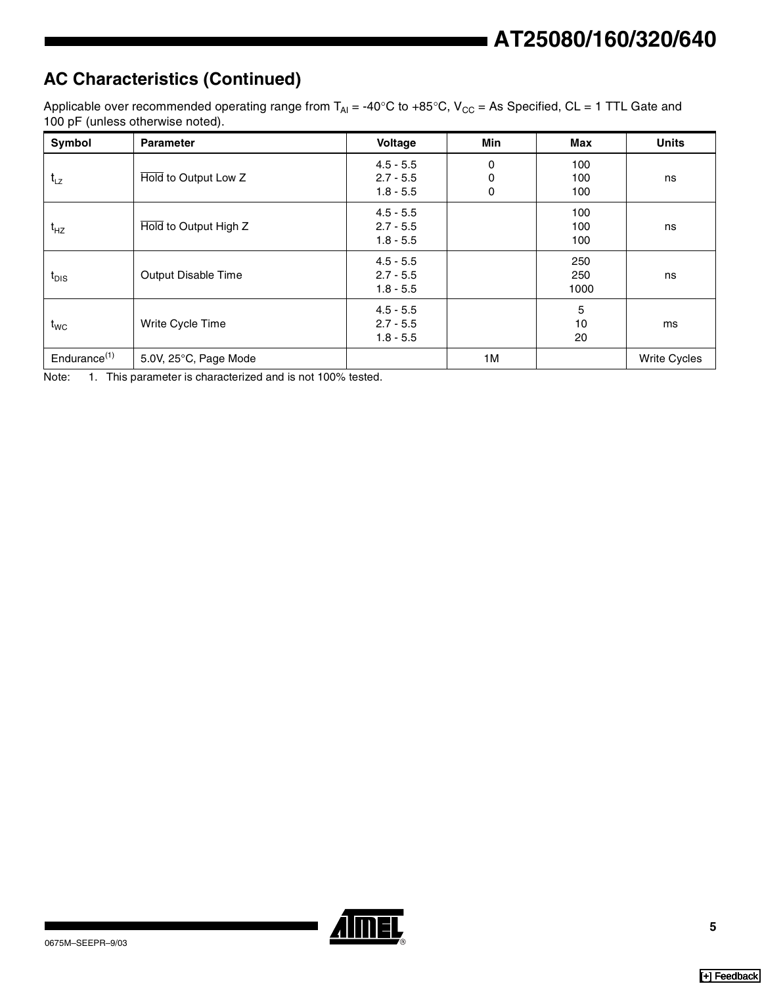## **AC Characteristics (Continued)**

Applicable over recommended operating range from  $T_{Al} = -40^{\circ}C$  to  $+85^{\circ}C$ ,  $V_{CC} = As$  Specified, CL = 1 TTL Gate and 100 pF (unless otherwise noted).

| Symbol                   | <b>Parameter</b>      | Voltage                                   | <b>Min</b>  | Max                | <b>Units</b>        |
|--------------------------|-----------------------|-------------------------------------------|-------------|--------------------|---------------------|
| $t_{Lz}$                 | Hold to Output Low Z  | $4.5 - 5.5$<br>$2.7 - 5.5$<br>$1.8 - 5.5$ | 0<br>0<br>0 | 100<br>100<br>100  | ns                  |
| $t_{HZ}$                 | Hold to Output High Z | $4.5 - 5.5$<br>$2.7 - 5.5$<br>$1.8 - 5.5$ |             | 100<br>100<br>100  | ns                  |
| $t_{DIS}$                | Output Disable Time   | $4.5 - 5.5$<br>$2.7 - 5.5$<br>$1.8 - 5.5$ |             | 250<br>250<br>1000 | ns                  |
| $t_{WC}$                 | Write Cycle Time      | $4.5 - 5.5$<br>$2.7 - 5.5$<br>$1.8 - 5.5$ |             | 5<br>10<br>20      | ms                  |
| Endurance <sup>(1)</sup> | 5.0V, 25°C, Page Mode |                                           | 1M          |                    | <b>Write Cycles</b> |

Note: 1. This parameter is characterized and is not 100% tested.

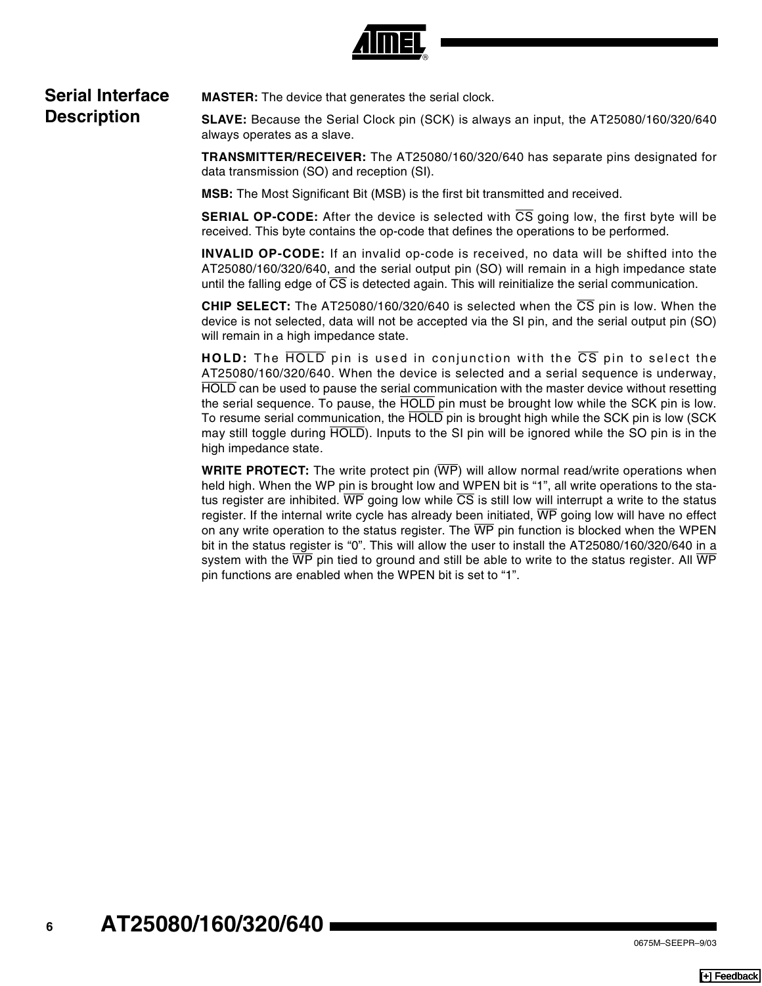

#### **Serial Interface Description**

**MASTER:** The device that generates the serial clock.

**SLAVE:** Because the Serial Clock pin (SCK) is always an input, the AT25080/160/320/640 always operates as a slave.

**TRANSMITTER/RECEIVER:** The AT25080/160/320/640 has separate pins designated for data transmission (SO) and reception (SI).

**MSB:** The Most Significant Bit (MSB) is the first bit transmitted and received.

**SERIAL OP-CODE:** After the device is selected with CS going low, the first byte will be received. This byte contains the op-code that defines the operations to be performed.

**INVALID OP-CODE:** If an invalid op-code is received, no data will be shifted into the AT25080/160/320/640, and the serial output pin (SO) will remain in a high impedance state until the falling edge of CS is detected again. This will reinitialize the serial communication.

**CHIP SELECT:** The AT25080/160/320/640 is selected when the CS pin is low. When the device is not selected, data will not be accepted via the SI pin, and the serial output pin (SO) will remain in a high impedance state.

**HOLD:** The HOLD pin is used in conjunction with the CS pin to select the AT25080/160/320/640. When the device is selected and a serial sequence is underway, HOLD can be used to pause the serial communication with the master device without resetting the serial sequence. To pause, the HOLD pin must be brought low while the SCK pin is low. To resume serial communication, the HOLD pin is brought high while the SCK pin is low (SCK may still toggle during HOLD). Inputs to the SI pin will be ignored while the SO pin is in the high impedance state.

**WRITE PROTECT:** The write protect pin (WP) will allow normal read/write operations when held high. When the WP pin is brought low and WPEN bit is "1", all write operations to the status register are inhibited.  $\overline{WP}$  going low while  $\overline{CS}$  is still low will interrupt a write to the status register. If the internal write cycle has already been initiated, WP going low will have no effect on any write operation to the status register. The  $\overline{\text{WP}}$  pin function is blocked when the WPEN bit in the status register is "0". This will allow the user to install the AT25080/160/320/640 in a system with the  $\overline{\text{WP}}$  pin tied to ground and still be able to write to the status register. All  $\overline{\text{WP}}$ pin functions are enabled when the WPEN bit is set to "1".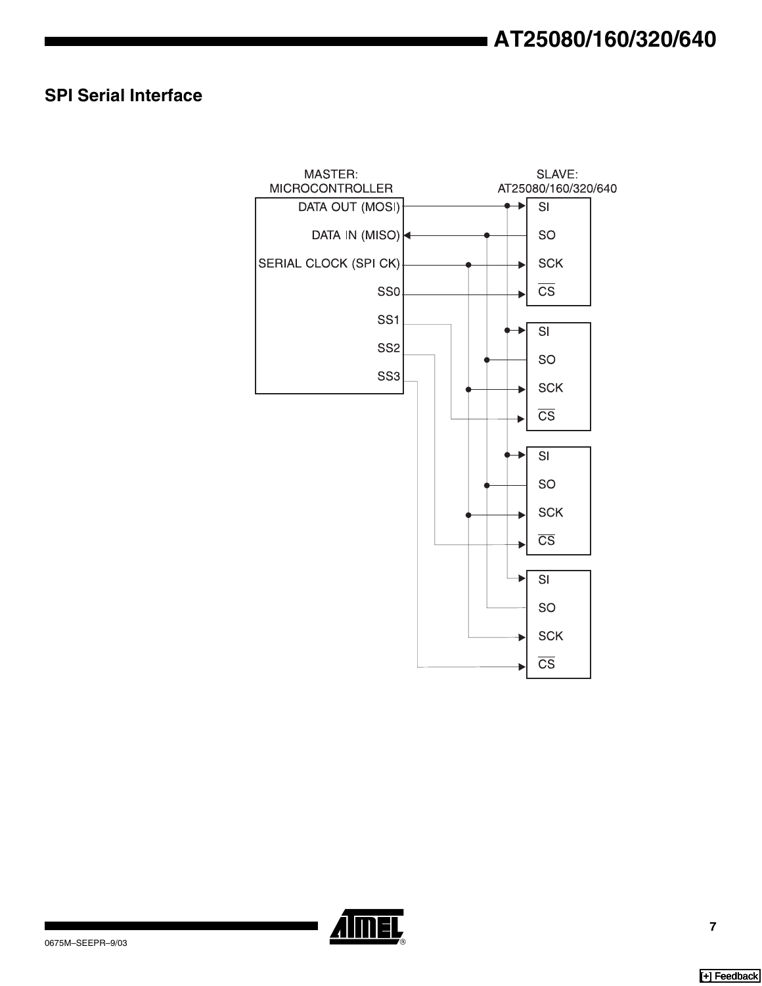### **SPI Serial Interface**



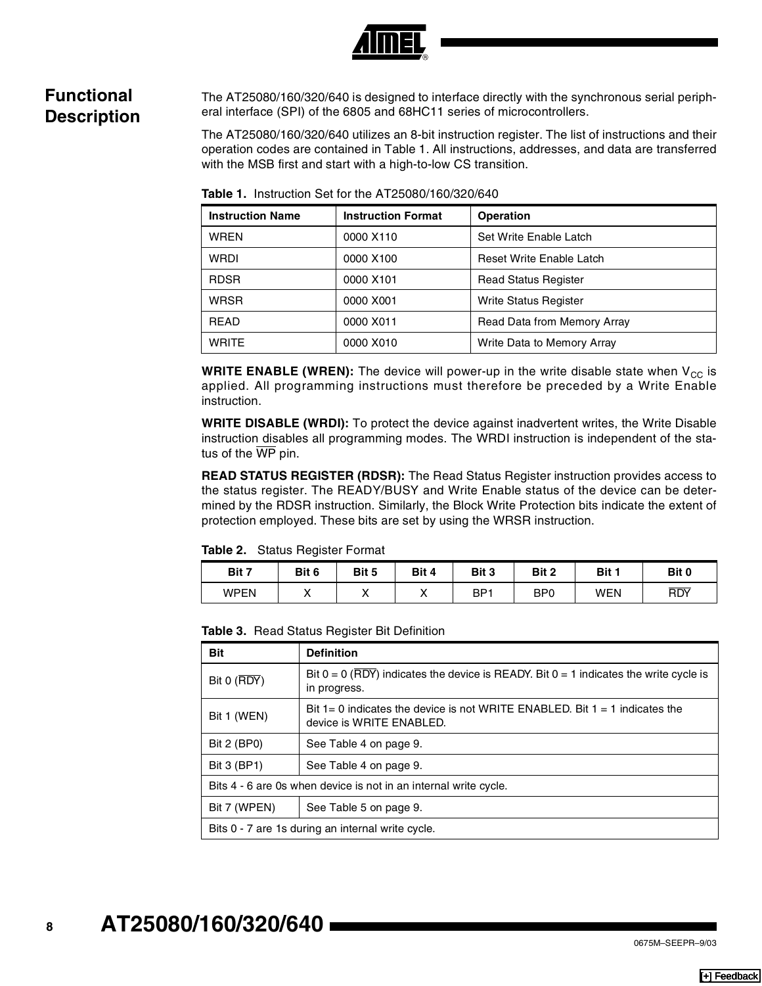

#### **Functional Description**

The AT25080/160/320/640 is designed to interface directly with the synchronous serial peripheral interface (SPI) of the 6805 and 68HC11 series of microcontrollers.

The AT25080/160/320/640 utilizes an 8-bit instruction register. The list of instructions and their operation codes are contained in Table 1. All instructions, addresses, and data are transferred with the MSB first and start with a high-to-low CS transition.

| <b>Instruction Name</b> | <b>Instruction Format</b> | <b>Operation</b>             |
|-------------------------|---------------------------|------------------------------|
| <b>WREN</b>             | 0000 X110                 | Set Write Enable Latch       |
| <b>WRDI</b>             | 0000 X100                 | Reset Write Enable Latch     |
| <b>RDSR</b>             | 0000 X101                 | <b>Read Status Register</b>  |
| <b>WRSR</b>             | 0000 X001                 | <b>Write Status Register</b> |
| <b>READ</b>             | 0000 X011                 | Read Data from Memory Array  |
| <b>WRITE</b>            | 0000 X010                 | Write Data to Memory Array   |

**Table 1.** Instruction Set for the AT25080/160/320/640

**WRITE ENABLE (WREN):** The device will power-up in the write disable state when V<sub>CC</sub> is applied. All programming instructions must therefore be preceded by a Write Enable instruction.

**WRITE DISABLE (WRDI):** To protect the device against inadvertent writes, the Write Disable instruction disables all programming modes. The WRDI instruction is independent of the status of the  $\overline{\text{WP}}$  pin.

**READ STATUS REGISTER (RDSR):** The Read Status Register instruction provides access to the status register. The READY/BUSY and Write Enable status of the device can be determined by the RDSR instruction. Similarly, the Block Write Protection bits indicate the extent of protection employed. These bits are set by using the WRSR instruction.

**Table 2.** Status Register Format

| Bit 7       | Bit 6     | Bit 5 | Bit 4 | Bit 3           | Bit 2      | Bit 1      | Bit 0      |
|-------------|-----------|-------|-------|-----------------|------------|------------|------------|
| <b>WPEN</b> | $\lambda$ |       | "     | BP <sup>-</sup> | <b>BP0</b> | <b>WEN</b> | <b>RDY</b> |

**Table 3.** Read Status Register Bit Definition

| Bit                                                                                                                     | <b>Definition</b>                                                                                         |  |  |  |  |
|-------------------------------------------------------------------------------------------------------------------------|-----------------------------------------------------------------------------------------------------------|--|--|--|--|
| Bit 0 (RDY)                                                                                                             | Bit $0 = 0$ (RDY) indicates the device is READY. Bit $0 = 1$ indicates the write cycle is<br>in progress. |  |  |  |  |
| Bit $1=0$ indicates the device is not WRITE ENABLED. Bit $1=1$ indicates the<br>Bit 1 (WEN)<br>device is WRITE ENABLED. |                                                                                                           |  |  |  |  |
| Bit 2 (BP0)                                                                                                             | See Table 4 on page 9.                                                                                    |  |  |  |  |
| Bit 3 (BP1)<br>See Table 4 on page 9.                                                                                   |                                                                                                           |  |  |  |  |
|                                                                                                                         | Bits 4 - 6 are 0s when device is not in an internal write cycle.                                          |  |  |  |  |
| Bit 7 (WPEN)                                                                                                            | See Table 5 on page 9.                                                                                    |  |  |  |  |
|                                                                                                                         | Bits 0 - 7 are 1s during an internal write cycle.                                                         |  |  |  |  |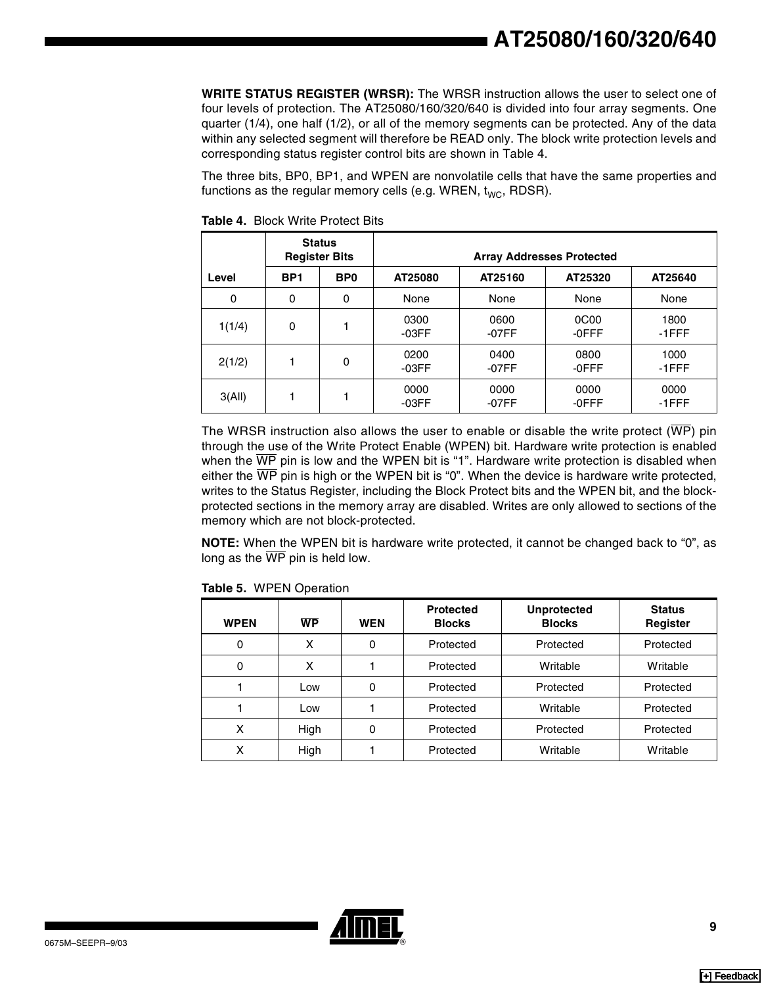**WRITE STATUS REGISTER (WRSR):** The WRSR instruction allows the user to select one of four levels of protection. The AT25080/160/320/640 is divided into four array segments. One quarter (1/4), one half (1/2), or all of the memory segments can be protected. Any of the data within any selected segment will therefore be READ only. The block write protection levels and corresponding status register control bits are shown in Table 4.

The three bits, BP0, BP1, and WPEN are nonvolatile cells that have the same properties and functions as the regular memory cells (e.g. WREN,  $t_{WC}$ , RDSR).

|             | <b>Status</b><br><b>Register Bits</b> |                 | <b>Array Addresses Protected</b> |                               |               |               |  |  |
|-------------|---------------------------------------|-----------------|----------------------------------|-------------------------------|---------------|---------------|--|--|
| Level       | BP <sub>1</sub>                       | B <sub>P0</sub> | AT25080                          | AT25160<br>AT25320<br>AT25640 |               |               |  |  |
| $\mathbf 0$ | 0                                     | 0               | None                             | None                          | None          | None          |  |  |
| 1(1/4)      | 0                                     |                 | 0300<br>-03FF                    | 0600<br>-07FF                 | 0C00<br>-0FFF | 1800<br>-1FFF |  |  |
| 2(1/2)      |                                       | 0               | 0200<br>-03FF                    | 0400<br>-07FF                 | 0800<br>-0FFF | 1000<br>-1FFF |  |  |
| 3(AII)      |                                       |                 | 0000<br>-03FF                    | 0000<br>-07FF                 | 0000<br>-0FFF | 0000<br>-1FFF |  |  |

**Table 4.** Block Write Protect Bits

The WRSR instruction also allows the user to enable or disable the write protect ( $\overline{\text{WP}}$ ) pin through the use of the Write Protect Enable (WPEN) bit. Hardware write protection is enabled when the  $\overline{WP}$  pin is low and the WPEN bit is "1". Hardware write protection is disabled when either the  $\overline{WP}$  pin is high or the WPEN bit is "0". When the device is hardware write protected, writes to the Status Register, including the Block Protect bits and the WPEN bit, and the blockprotected sections in the memory array are disabled. Writes are only allowed to sections of the memory which are not block-protected.

**NOTE:** When the WPEN bit is hardware write protected, it cannot be changed back to "0", as long as the  $\overline{\text{WP}}$  pin is held low.

| <b>WPEN</b> | <b>WP</b> | <b>WEN</b> | <b>Protected</b><br><b>Blocks</b> | <b>Unprotected</b><br><b>Blocks</b> | <b>Status</b><br>Register |
|-------------|-----------|------------|-----------------------------------|-------------------------------------|---------------------------|
| 0           | x         | 0          | Protected                         | Protected                           | Protected                 |
| 0           | x         |            | Protected                         | Writable                            | Writable                  |
|             | Low       | 0          | Protected                         | Protected                           | Protected                 |
|             | Low       |            | Protected                         | Writable                            | Protected                 |
| x           | High      | 0          | Protected                         | Protected                           | Protected                 |
| x           | High      |            | Protected                         | Writable                            | Writable                  |

<span id="page-8-0"></span>**Table 5.** WPEN Operation

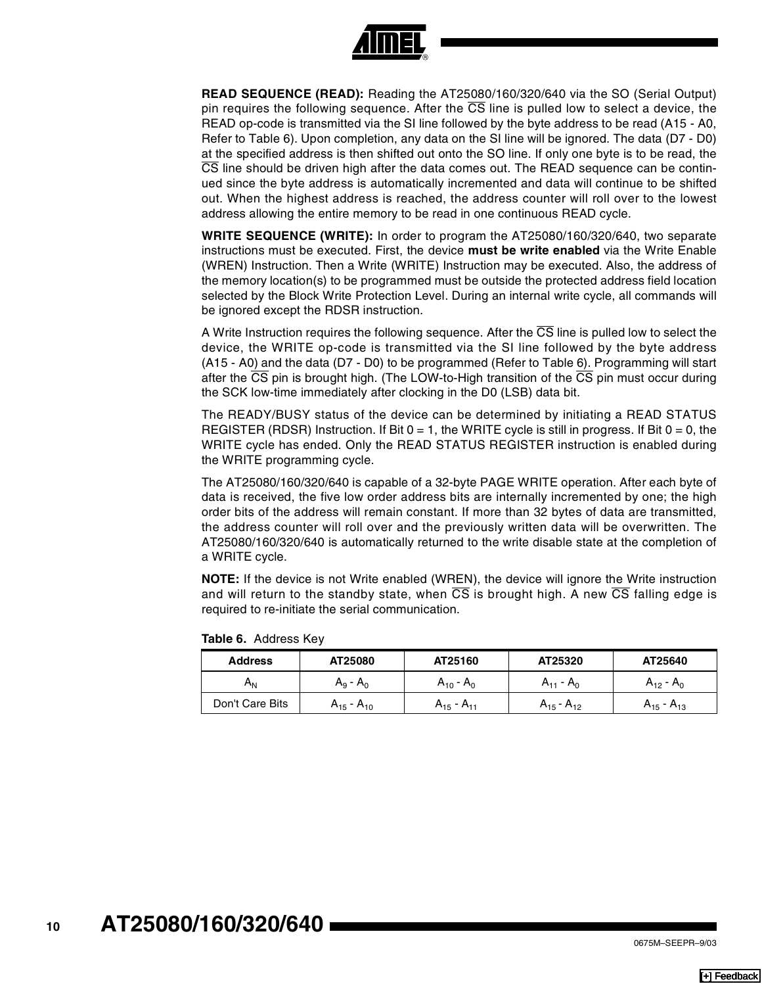

**READ SEQUENCE (READ):** Reading the AT25080/160/320/640 via the SO (Serial Output) pin requires the following sequence. After the  $\overline{\text{CS}}$  line is pulled low to select a device, the READ op-code is transmitted via the SI line followed by the byte address to be read (A15 - A0, Refer to Table 6). Upon completion, any data on the SI line will be ignored. The data (D7 - D0) at the specified address is then shifted out onto the SO line. If only one byte is to be read, the CS line should be driven high after the data comes out. The READ sequence can be continued since the byte address is automatically incremented and data will continue to be shifted out. When the highest address is reached, the address counter will roll over to the lowest address allowing the entire memory to be read in one continuous READ cycle.

**WRITE SEQUENCE (WRITE):** In order to program the AT25080/160/320/640, two separate instructions must be executed. First, the device **must be write enabled** via the Write Enable (WREN) Instruction. Then a Write (WRITE) Instruction may be executed. Also, the address of the memory location(s) to be programmed must be outside the protected address field location selected by the Block Write Protection Level. During an internal write cycle, all commands will be ignored except the RDSR instruction.

A Write Instruction requires the following sequence. After the  $\overline{\text{CS}}$  line is pulled low to select the device, the WRITE op-code is transmitted via the SI line followed by the byte address (A15 - A0) and the data (D7 - D0) to be programmed (Refer to Table 6). Programming will start after the  $\overline{\text{CS}}$  pin is brought high. (The LOW-to-High transition of the  $\overline{\text{CS}}$  pin must occur during the SCK low-time immediately after clocking in the D0 (LSB) data bit.

The READY/BUSY status of the device can be determined by initiating a READ STATUS REGISTER (RDSR) Instruction. If Bit  $0 = 1$ , the WRITE cycle is still in progress. If Bit  $0 = 0$ , the WRITE cycle has ended. Only the READ STATUS REGISTER instruction is enabled during the WRITE programming cycle.

The AT25080/160/320/640 is capable of a 32-byte PAGE WRITE operation. After each byte of data is received, the five low order address bits are internally incremented by one; the high order bits of the address will remain constant. If more than 32 bytes of data are transmitted, the address counter will roll over and the previously written data will be overwritten. The AT25080/160/320/640 is automatically returned to the write disable state at the completion of a WRITE cycle.

**NOTE:** If the device is not Write enabled (WREN), the device will ignore the Write instruction and will return to the standby state, when  $\overline{CS}$  is brought high. A new  $\overline{CS}$  falling edge is required to re-initiate the serial communication.

| <b>Address</b>  | AT25080           | AT25160           | AT25320           | AT25640           |
|-----------------|-------------------|-------------------|-------------------|-------------------|
| Α <sub>Ν</sub>  | $A_9 - A_0$       | $A_{10} - A_0$    | $A_{11} - A_0$    | $A_{12} - A_0$    |
| Don't Care Bits | $A_{15} - A_{10}$ | $A_{15} - A_{11}$ | $A_{15} - A_{12}$ | $A_{15} - A_{13}$ |

**Table 6.** Address Key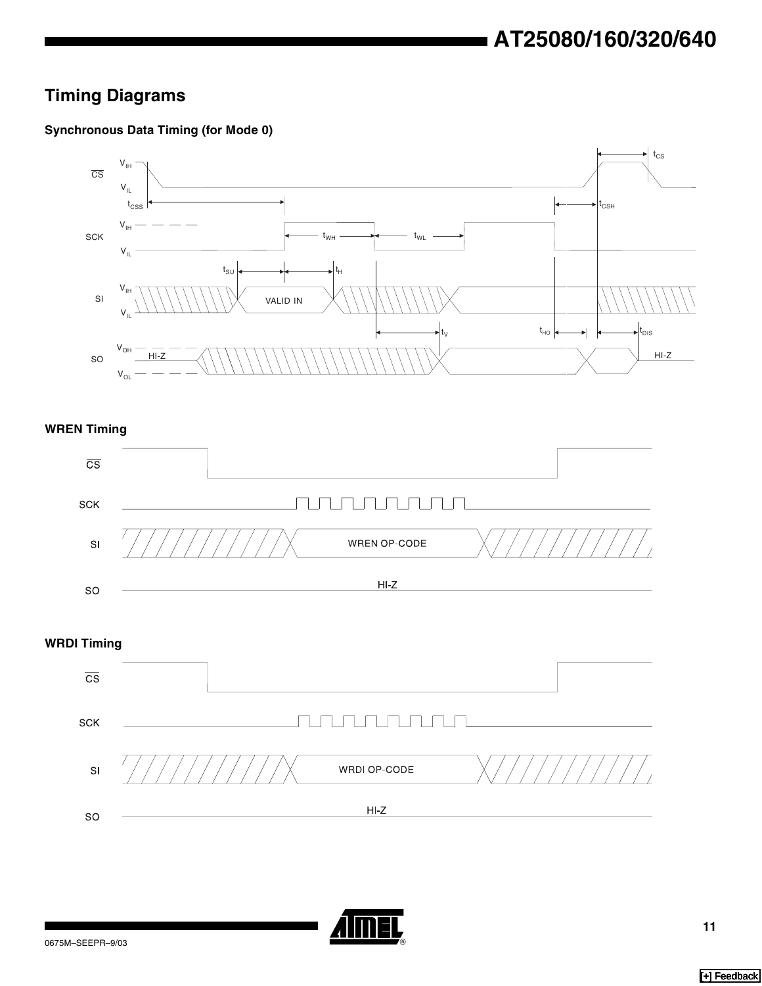## **Timing Diagrams**

#### **Synchronous Data Timing (for Mode 0)**



**WREN Timing**



**WRDI Timing**



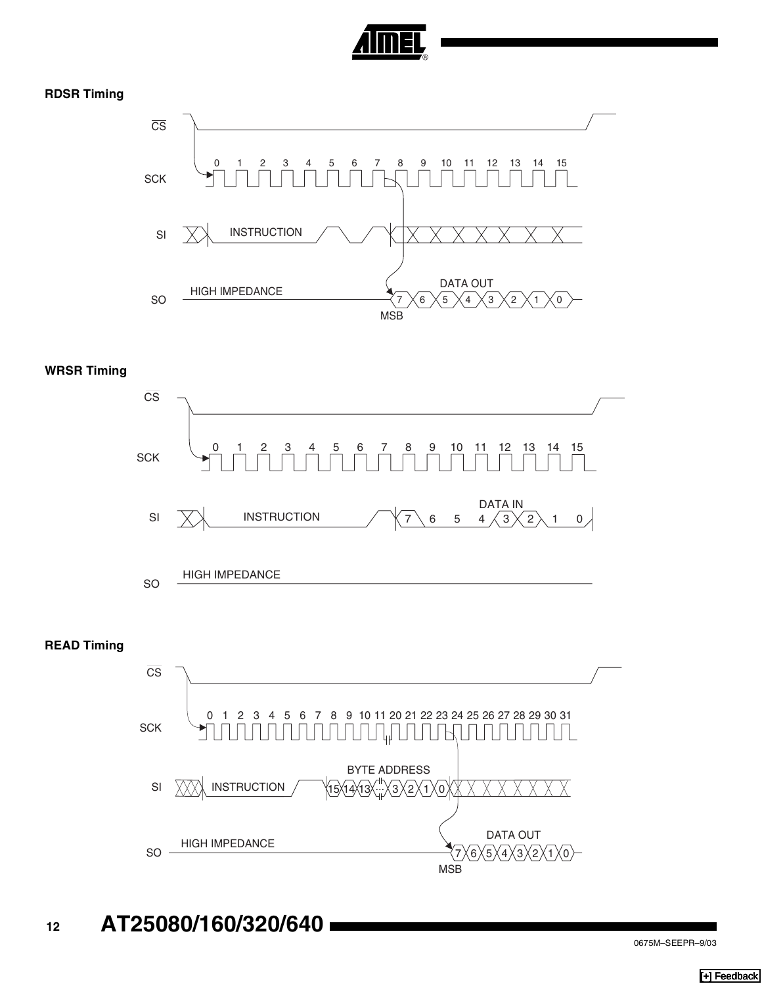

#### **RDSR Timing**



#### **WRSR Timing**



**<sup>12</sup> AT25080/160/320/640**

6X5X4X3X2X1X0

7

MSB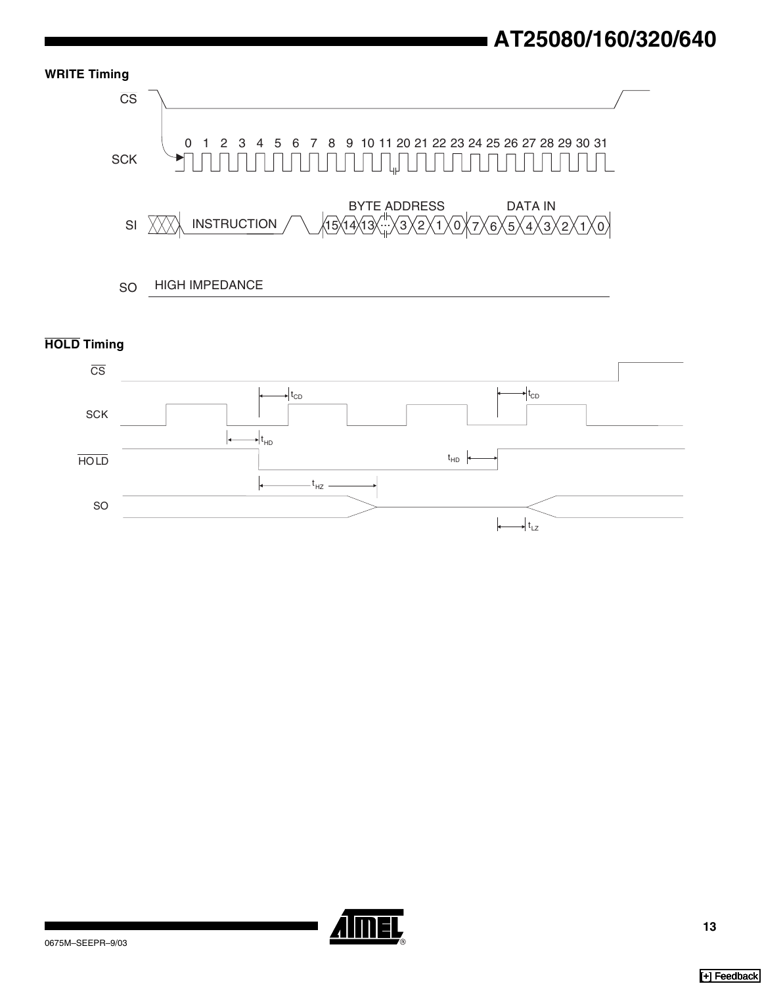

#### **HOLD Timing**



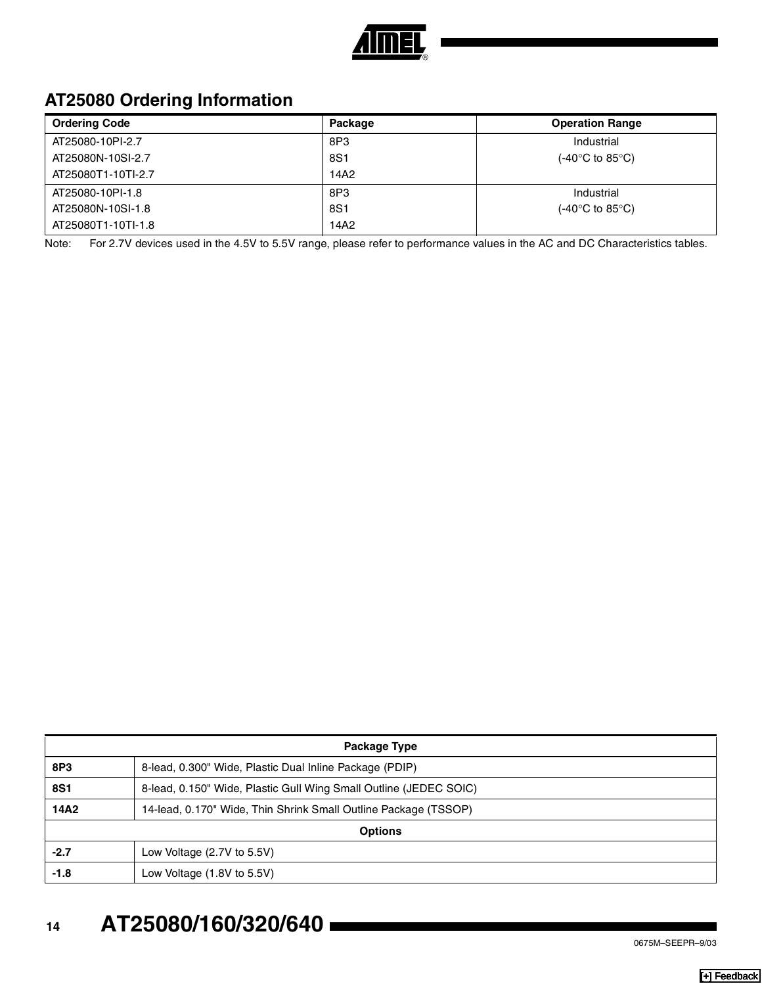

## **AT25080 Ordering Information**

| <b>Ordering Code</b> | Package | <b>Operation Range</b> |
|----------------------|---------|------------------------|
| AT25080-10PI-2.7     | 8P3     | Industrial             |
| AT25080N-10SI-2.7    | 8S1     | (-40°C to 85°C)        |
| AT25080T1-10TI-2.7   | 14A2    |                        |
| AT25080-10PI-1.8     | 8P3     | Industrial             |
| AT25080N-10SI-1.8    | 8S1     | (-40°C to 85°C)        |
| AT25080T1-10TI-1.8   | 14A2    |                        |

Note: For 2.7V devices used in the 4.5V to 5.5V range, please refer to performance values in the AC and DC Characteristics tables.

| Package Type   |                                                                   |  |
|----------------|-------------------------------------------------------------------|--|
| 8P3            | 8-lead, 0.300" Wide, Plastic Dual Inline Package (PDIP)           |  |
| <b>8S1</b>     | 8-lead, 0.150" Wide, Plastic Gull Wing Small Outline (JEDEC SOIC) |  |
| 14A2           | 14-lead, 0.170" Wide, Thin Shrink Small Outline Package (TSSOP)   |  |
| <b>Options</b> |                                                                   |  |
| $-2.7$         | Low Voltage $(2.7V)$ to 5.5V)                                     |  |
| -1.8           | Low Voltage $(1.8V \text{ to } 5.5V)$                             |  |

# **<sup>14</sup> AT25080/160/320/640**

0675M–SEEPR–9/03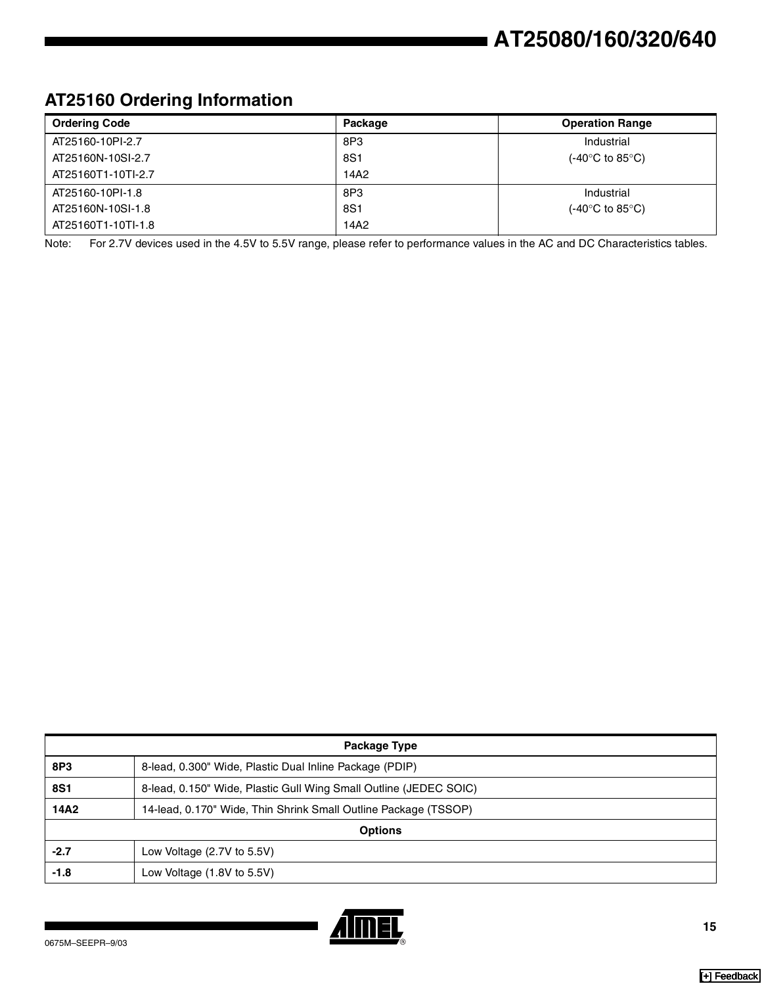## **AT25160 Ordering Information**

| <b>Ordering Code</b> | Package | <b>Operation Range</b>               |
|----------------------|---------|--------------------------------------|
| AT25160-10PI-2.7     | 8P3     | Industrial                           |
| AT25160N-10SI-2.7    | 8S1     | $(-40^{\circ}$ C to 85 $^{\circ}$ C) |
| AT25160T1-10TI-2.7   | 14A2    |                                      |
| AT25160-10PI-1.8     | 8P3     | Industrial                           |
| AT25160N-10SI-1.8    | 8S1     | $(-40^{\circ}$ C to 85 $^{\circ}$ C) |
| AT25160T1-10TI-1.8   | 14A2    |                                      |

Note: For 2.7V devices used in the 4.5V to 5.5V range, please refer to performance values in the AC and DC Characteristics tables.

| Package Type   |                                                                   |  |
|----------------|-------------------------------------------------------------------|--|
| 8P3            | 8-lead, 0.300" Wide, Plastic Dual Inline Package (PDIP)           |  |
| <b>8S1</b>     | 8-lead, 0.150" Wide, Plastic Gull Wing Small Outline (JEDEC SOIC) |  |
| 14A2           | 14-lead, 0.170" Wide, Thin Shrink Small Outline Package (TSSOP)   |  |
| <b>Options</b> |                                                                   |  |
| $-2.7$         | Low Voltage (2.7V to 5.5V)                                        |  |
| -1.8           | Low Voltage (1.8V to 5.5V)                                        |  |

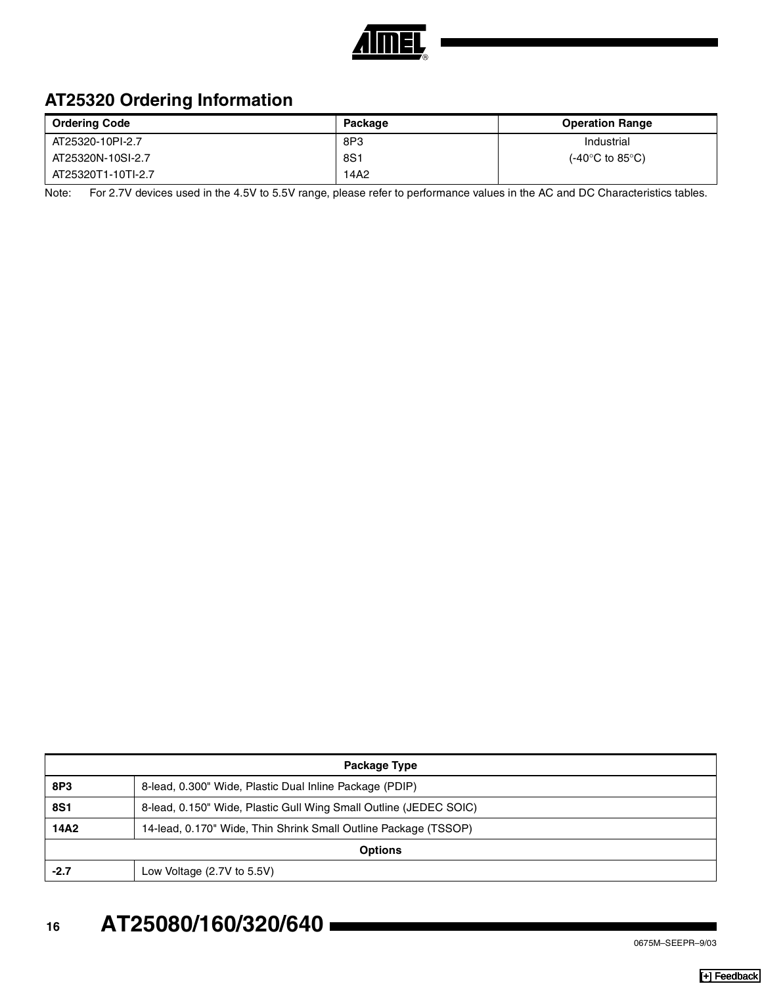

## **AT25320 Ordering Information**

| <b>Ordering Code</b> | Package | <b>Operation Range</b>               |
|----------------------|---------|--------------------------------------|
| AT25320-10PI-2.7     | 8P3     | Industrial                           |
| AT25320N-10SI-2.7    | 8S1     | $(-40^{\circ}$ C to 85 $^{\circ}$ C) |
| AT25320T1-10TI-2.7   | 14A2    |                                      |

Note: For 2.7V devices used in the 4.5V to 5.5V range, please refer to performance values in the AC and DC Characteristics tables.

| Package Type   |                                                                   |  |
|----------------|-------------------------------------------------------------------|--|
| 8P3            | 8-lead, 0.300" Wide, Plastic Dual Inline Package (PDIP)           |  |
| <b>8S1</b>     | 8-lead, 0.150" Wide, Plastic Gull Wing Small Outline (JEDEC SOIC) |  |
| 14A2           | 14-lead, 0.170" Wide, Thin Shrink Small Outline Package (TSSOP)   |  |
| <b>Options</b> |                                                                   |  |
| $-2.7$         | Low Voltage $(2.7V)$ to 5.5V)                                     |  |

# **<sup>16</sup> AT25080/160/320/640**

0675M–SEEPR–9/03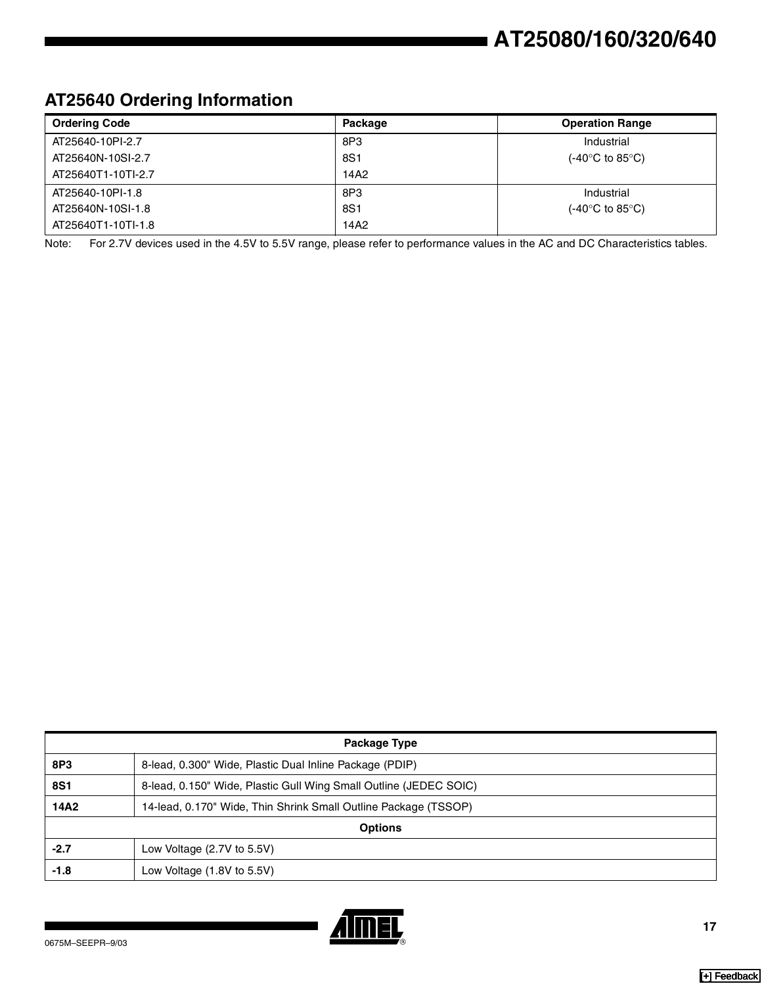## **AT25640 Ordering Information**

| <b>Ordering Code</b> | Package | <b>Operation Range</b>                       |
|----------------------|---------|----------------------------------------------|
| AT25640-10PI-2.7     | 8P3     | Industrial                                   |
| AT25640N-10SI-2.7    | 8S1     | (-40 $^{\circ}$ C to 85 $^{\circ}$ C)        |
| AT25640T1-10TI-2.7   | 14A2    |                                              |
| AT25640-10PI-1.8     | 8P3     | Industrial                                   |
| AT25640N-10SI-1.8    | 8S1     | (-40 $\rm ^{\circ}C$ to 85 $\rm ^{\circ}C$ ) |
| AT25640T1-10TI-1.8   | 14A2    |                                              |

Note: For 2.7V devices used in the 4.5V to 5.5V range, please refer to performance values in the AC and DC Characteristics tables.

| Package Type   |                                                                   |  |
|----------------|-------------------------------------------------------------------|--|
| 8P3            | 8-lead, 0.300" Wide, Plastic Dual Inline Package (PDIP)           |  |
| <b>8S1</b>     | 8-lead, 0.150" Wide, Plastic Gull Wing Small Outline (JEDEC SOIC) |  |
| 14A2           | 14-lead, 0.170" Wide, Thin Shrink Small Outline Package (TSSOP)   |  |
| <b>Options</b> |                                                                   |  |
| $-2.7$         | Low Voltage (2.7V to 5.5V)                                        |  |
| -1.8           | Low Voltage (1.8V to 5.5V)                                        |  |

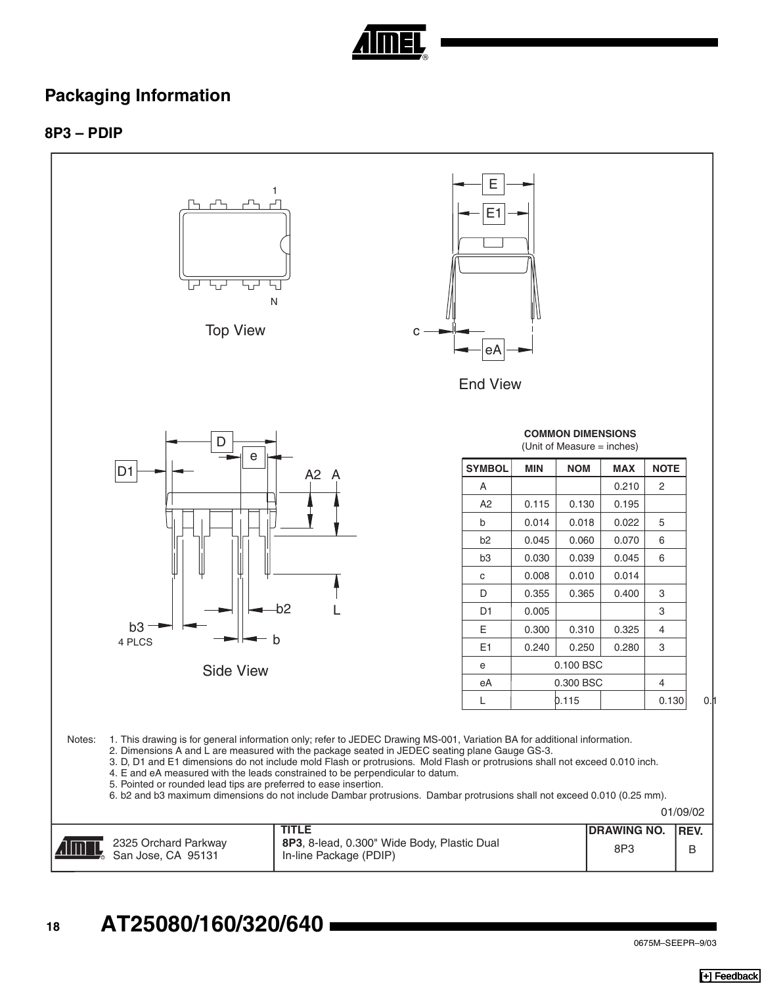

#### **Packaging Information**

**8P3 – PDIP** 

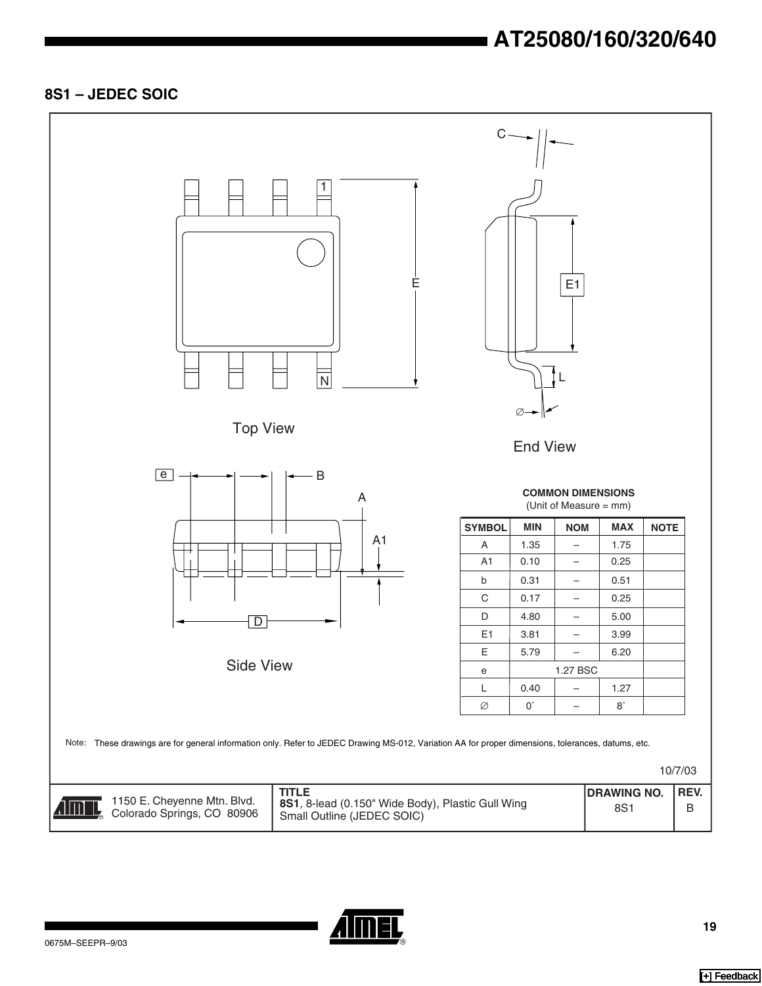# **AT25080/160/320/640**

#### **8S1 – JEDEC SOIC**



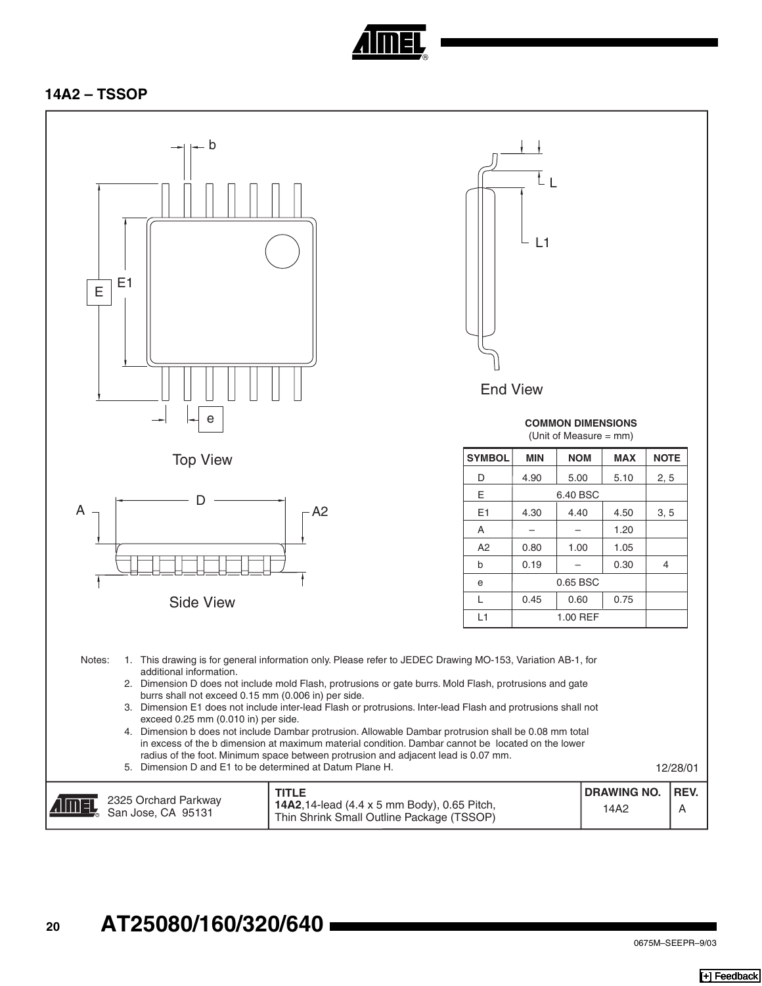

#### **14A2 – TSSOP**